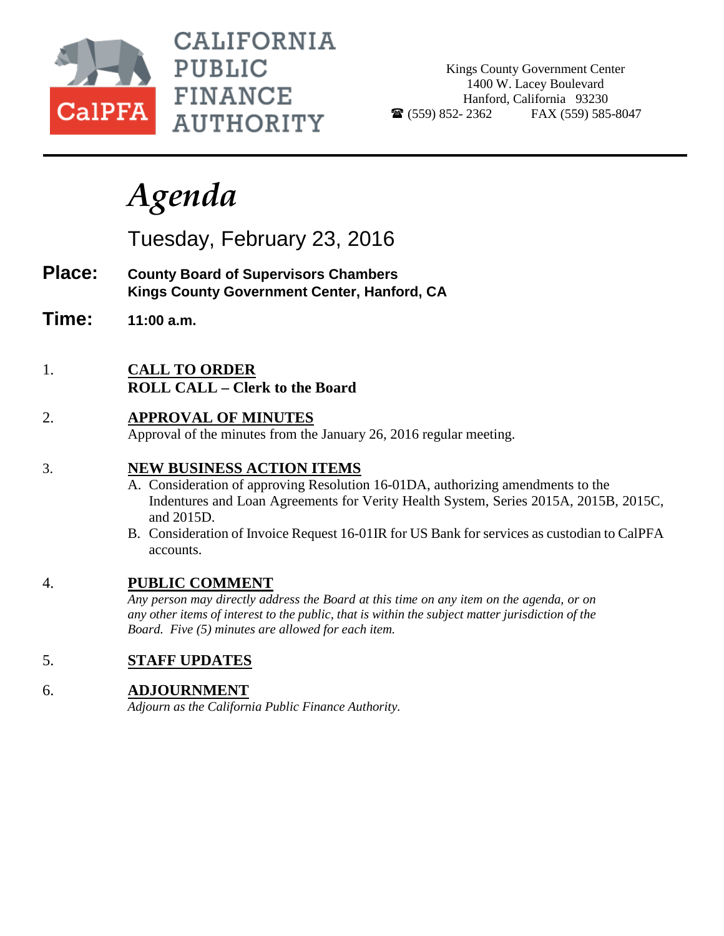

CALIFORNIA **PUBLIC FINANCE AUTHORITY** 

Kings County Government Center 1400 W. Lacey Boulevard Hanford, California 93230  $\bullet$  (559) 852-2362 FAX (559) 585-8047

# *Agenda*

Tuesday, February 23, 2016

- **Place: County Board of Supervisors Chambers Kings County Government Center, Hanford, CA**
- **Time: 11:00 a.m.**
- 1. **CALL TO ORDER ROLL CALL – Clerk to the Board**
- 2. **APPROVAL OF MINUTES** Approval of the minutes from the January 26, 2016 regular meeting.

## 3. **NEW BUSINESS ACTION ITEMS**

- A. Consideration of approving Resolution 16-01DA, authorizing amendments to the Indentures and Loan Agreements for Verity Health System, Series 2015A, 2015B, 2015C, and 2015D.
- B. Consideration of Invoice Request 16-01IR for US Bank for services as custodian to CalPFA accounts.

## 4. **PUBLIC COMMENT**

*Any person may directly address the Board at this time on any item on the agenda, or on any other items of interest to the public, that is within the subject matter jurisdiction of the Board. Five (5) minutes are allowed for each item.*

## 5. **STAFF UPDATES**

## 6. **ADJOURNMENT**

*Adjourn as the California Public Finance Authority.*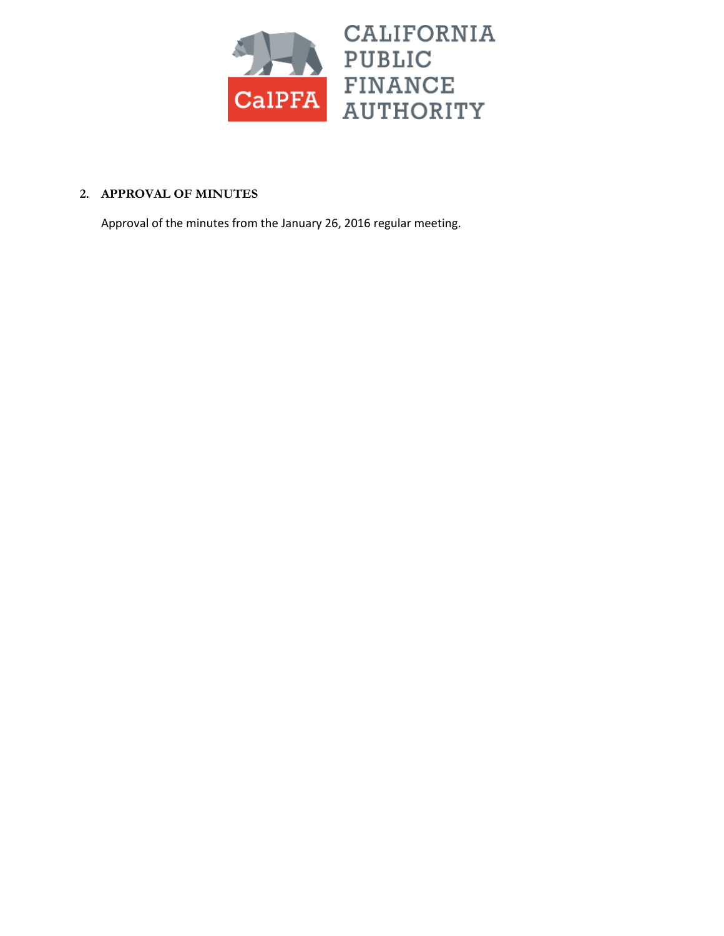

### **2. APPROVAL OF MINUTES**

Approval of the minutes from the January 26, 2016 regular meeting.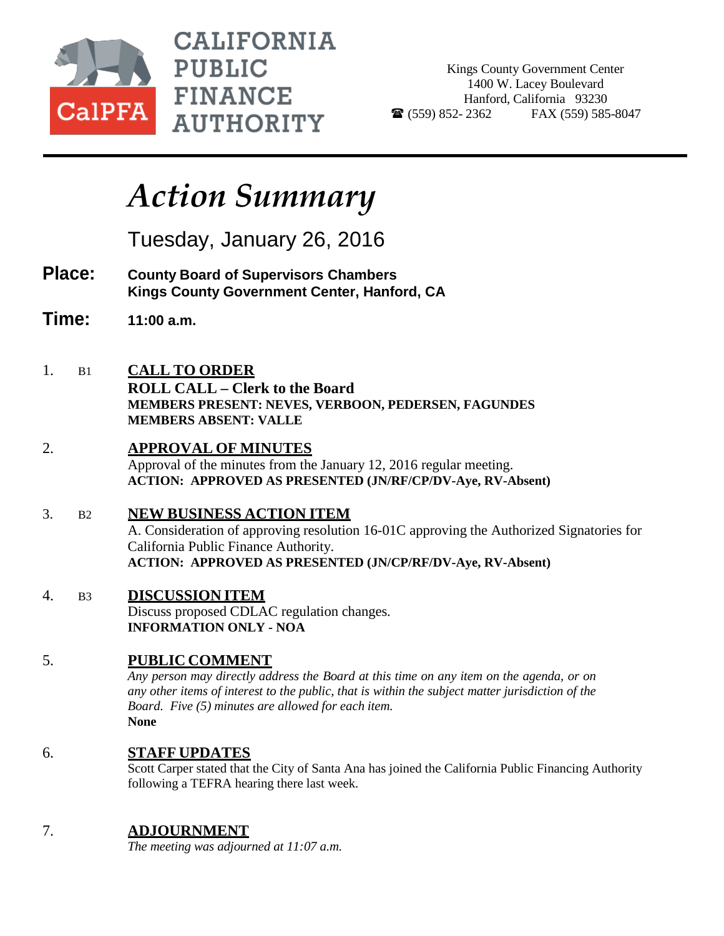

**CALIFORNIA PUBLIC FINANCE AUTHORITY** 

Kings County Government Center 1400 W. Lacey Boulevard Hanford, California 93230  $\bullet$  (559) 852-2362 FAX (559) 585-8047

# *Action Summary*

Tuesday, January 26, 2016

- **Place: County Board of Supervisors Chambers Kings County Government Center, Hanford, CA**
- **Time: 11:00 a.m.**
- 1. B1 **CALL TO ORDER**
	- **ROLL CALL – Clerk to the Board MEMBERS PRESENT: NEVES, VERBOON, PEDERSEN, FAGUNDES MEMBERS ABSENT: VALLE**
- 2. **APPROVAL OF MINUTES** Approval of the minutes from the January 12, 2016 regular meeting. **ACTION: APPROVED AS PRESENTED (JN/RF/CP/DV-Aye, RV-Absent)**

3. B2 **NEW BUSINESS ACTION ITEM** A. Consideration of approving resolution 16-01C approving the Authorized Signatories for California Public Finance Authority. **ACTION: APPROVED AS PRESENTED (JN/CP/RF/DV-Aye, RV-Absent)**

4. B3 **DISCUSSION ITEM** Discuss proposed CDLAC regulation changes. **INFORMATION ONLY - NOA**

# 5. **PUBLIC COMMENT**

*Any person may directly address the Board at this time on any item on the agenda, or on any other items of interest to the public, that is within the subject matter jurisdiction of the Board. Five (5) minutes are allowed for each item.* **None**

# 6. **STAFF UPDATES**

Scott Carper stated that the City of Santa Ana has joined the California Public Financing Authority following a TEFRA hearing there last week.

# 7. **ADJOURNMENT**

*The meeting was adjourned at 11:07 a.m.*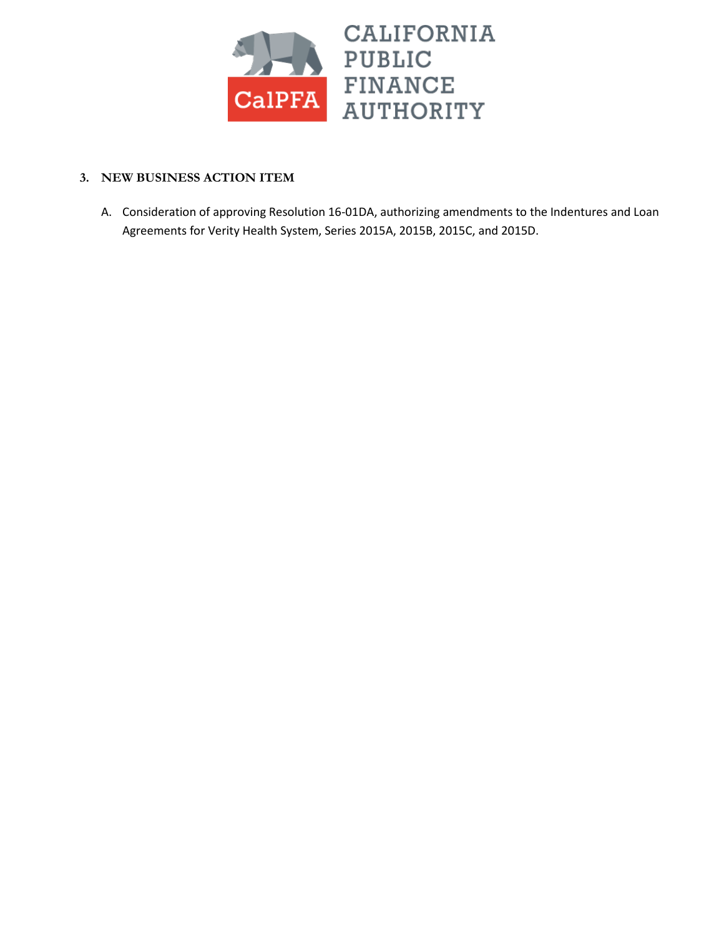

### **3. NEW BUSINESS ACTION ITEM**

A. Consideration of approving Resolution 16-01DA, authorizing amendments to the Indentures and Loan Agreements for Verity Health System, Series 2015A, 2015B, 2015C, and 2015D.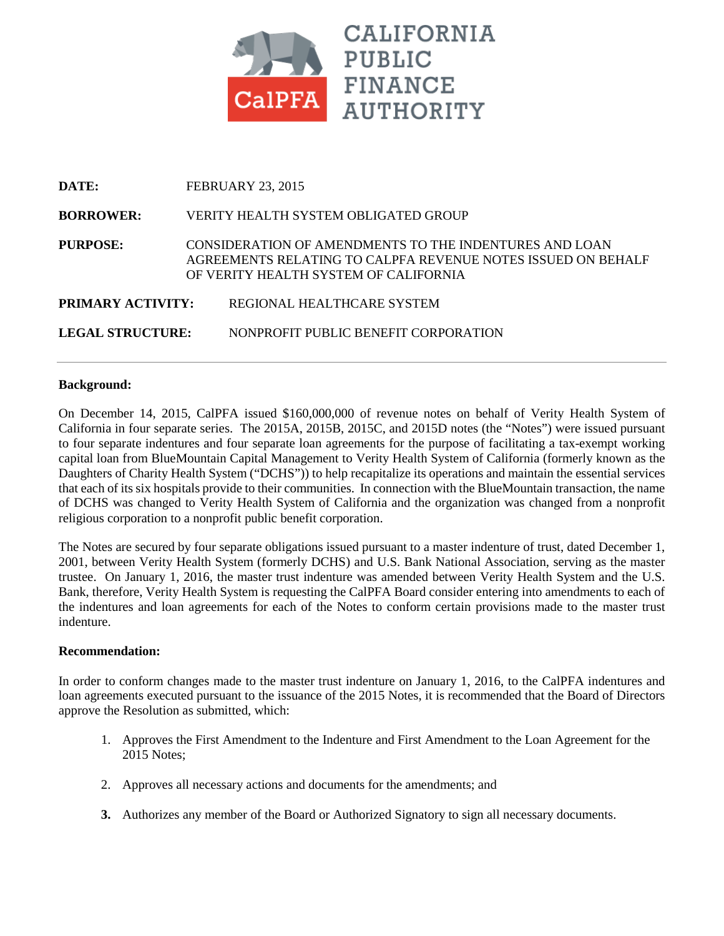

| DATE:                   | <b>FEBRUARY 23, 2015</b>                                                                                                                                        |
|-------------------------|-----------------------------------------------------------------------------------------------------------------------------------------------------------------|
| <b>BORROWER:</b>        | VERITY HEALTH SYSTEM OBLIGATED GROUP                                                                                                                            |
| <b>PURPOSE:</b>         | CONSIDERATION OF AMENDMENTS TO THE INDENTURES AND LOAN<br>AGREEMENTS RELATING TO CALPFA REVENUE NOTES ISSUED ON BEHALF<br>OF VERITY HEALTH SYSTEM OF CALIFORNIA |
| PRIMARY ACTIVITY:       | REGIONAL HEALTHCARE SYSTEM                                                                                                                                      |
| <b>LEGAL STRUCTURE:</b> | NONPROFIT PUBLIC BENEFIT CORPORATION                                                                                                                            |

#### **Background:**

On December 14, 2015, CalPFA issued \$160,000,000 of revenue notes on behalf of Verity Health System of California in four separate series. The 2015A, 2015B, 2015C, and 2015D notes (the "Notes") were issued pursuant to four separate indentures and four separate loan agreements for the purpose of facilitating a tax-exempt working capital loan from BlueMountain Capital Management to Verity Health System of California (formerly known as the Daughters of Charity Health System ("DCHS")) to help recapitalize its operations and maintain the essential services that each of its six hospitals provide to their communities. In connection with the BlueMountain transaction, the name of DCHS was changed to Verity Health System of California and the organization was changed from a nonprofit religious corporation to a nonprofit public benefit corporation.

The Notes are secured by four separate obligations issued pursuant to a master indenture of trust, dated December 1, 2001, between Verity Health System (formerly DCHS) and U.S. Bank National Association, serving as the master trustee. On January 1, 2016, the master trust indenture was amended between Verity Health System and the U.S. Bank, therefore, Verity Health System is requesting the CalPFA Board consider entering into amendments to each of the indentures and loan agreements for each of the Notes to conform certain provisions made to the master trust indenture.

#### **Recommendation:**

In order to conform changes made to the master trust indenture on January 1, 2016, to the CalPFA indentures and loan agreements executed pursuant to the issuance of the 2015 Notes, it is recommended that the Board of Directors approve the Resolution as submitted, which:

- 1. Approves the First Amendment to the Indenture and First Amendment to the Loan Agreement for the 2015 Notes;
- 2. Approves all necessary actions and documents for the amendments; and
- **3.** Authorizes any member of the Board or Authorized Signatory to sign all necessary documents.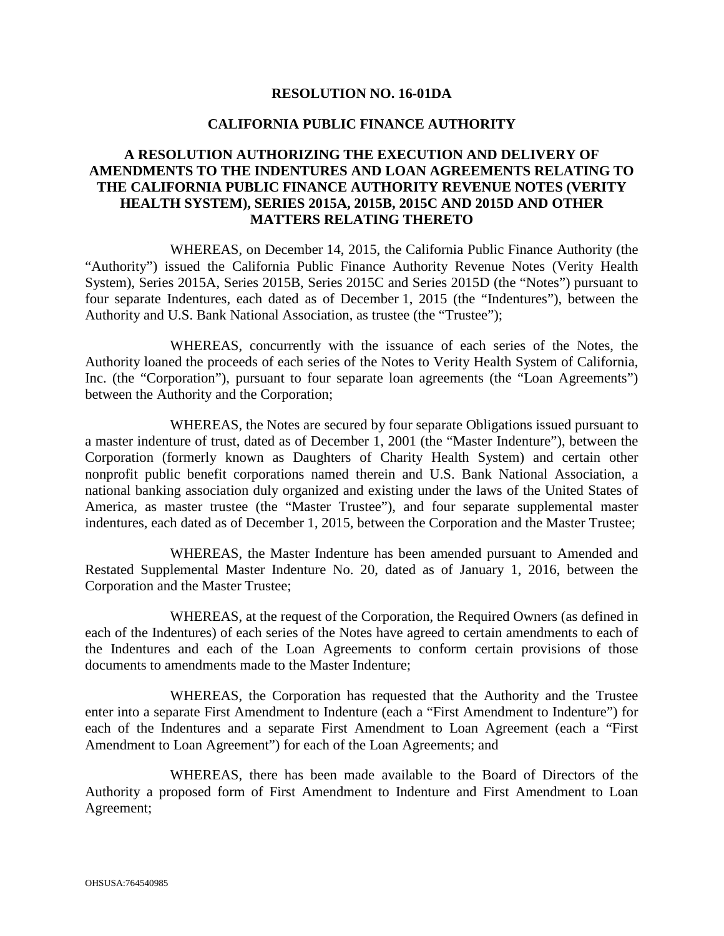#### **RESOLUTION NO. 16-01DA**

#### **CALIFORNIA PUBLIC FINANCE AUTHORITY**

#### **A RESOLUTION AUTHORIZING THE EXECUTION AND DELIVERY OF AMENDMENTS TO THE INDENTURES AND LOAN AGREEMENTS RELATING TO THE CALIFORNIA PUBLIC FINANCE AUTHORITY REVENUE NOTES (VERITY HEALTH SYSTEM), SERIES 2015A, 2015B, 2015C AND 2015D AND OTHER MATTERS RELATING THERETO**

WHEREAS, on December 14, 2015, the California Public Finance Authority (the "Authority") issued the California Public Finance Authority Revenue Notes (Verity Health System), Series 2015A, Series 2015B, Series 2015C and Series 2015D (the "Notes") pursuant to four separate Indentures, each dated as of December 1, 2015 (the "Indentures"), between the Authority and U.S. Bank National Association, as trustee (the "Trustee");

WHEREAS, concurrently with the issuance of each series of the Notes, the Authority loaned the proceeds of each series of the Notes to Verity Health System of California, Inc. (the "Corporation"), pursuant to four separate loan agreements (the "Loan Agreements") between the Authority and the Corporation;

WHEREAS, the Notes are secured by four separate Obligations issued pursuant to a master indenture of trust, dated as of December 1, 2001 (the "Master Indenture"), between the Corporation (formerly known as Daughters of Charity Health System) and certain other nonprofit public benefit corporations named therein and U.S. Bank National Association, a national banking association duly organized and existing under the laws of the United States of America, as master trustee (the "Master Trustee"), and four separate supplemental master indentures, each dated as of December 1, 2015, between the Corporation and the Master Trustee;

WHEREAS, the Master Indenture has been amended pursuant to Amended and Restated Supplemental Master Indenture No. 20, dated as of January 1, 2016, between the Corporation and the Master Trustee;

WHEREAS, at the request of the Corporation, the Required Owners (as defined in each of the Indentures) of each series of the Notes have agreed to certain amendments to each of the Indentures and each of the Loan Agreements to conform certain provisions of those documents to amendments made to the Master Indenture;

WHEREAS, the Corporation has requested that the Authority and the Trustee enter into a separate First Amendment to Indenture (each a "First Amendment to Indenture") for each of the Indentures and a separate First Amendment to Loan Agreement (each a "First Amendment to Loan Agreement") for each of the Loan Agreements; and

WHEREAS, there has been made available to the Board of Directors of the Authority a proposed form of First Amendment to Indenture and First Amendment to Loan Agreement;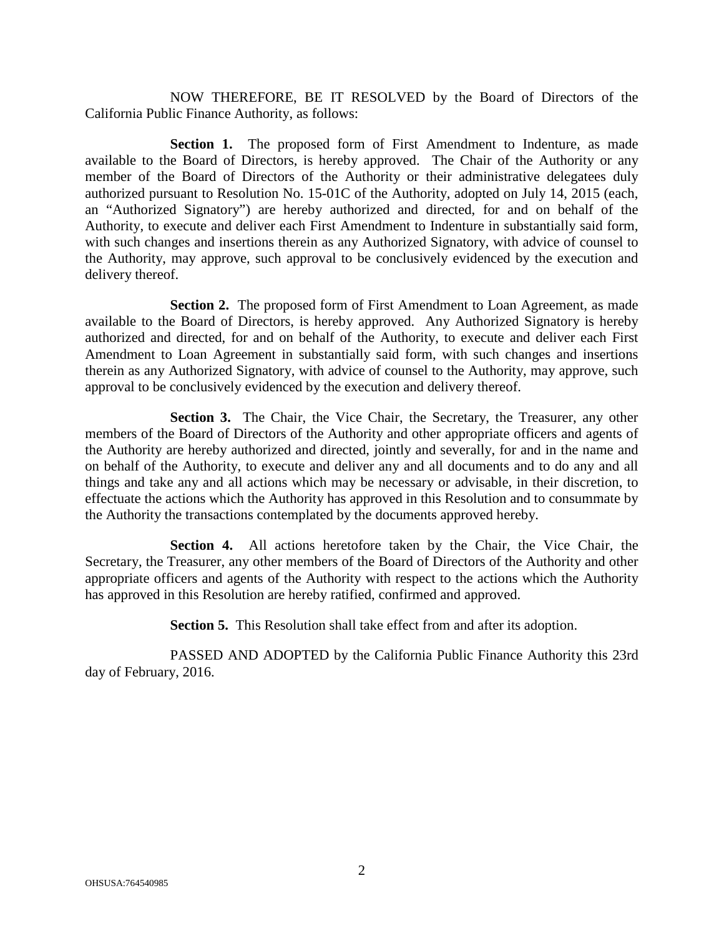NOW THEREFORE, BE IT RESOLVED by the Board of Directors of the California Public Finance Authority, as follows:

**Section 1.** The proposed form of First Amendment to Indenture, as made available to the Board of Directors, is hereby approved. The Chair of the Authority or any member of the Board of Directors of the Authority or their administrative delegatees duly authorized pursuant to Resolution No. 15-01C of the Authority, adopted on July 14, 2015 (each, an "Authorized Signatory") are hereby authorized and directed, for and on behalf of the Authority, to execute and deliver each First Amendment to Indenture in substantially said form, with such changes and insertions therein as any Authorized Signatory, with advice of counsel to the Authority, may approve, such approval to be conclusively evidenced by the execution and delivery thereof.

**Section 2.** The proposed form of First Amendment to Loan Agreement, as made available to the Board of Directors, is hereby approved. Any Authorized Signatory is hereby authorized and directed, for and on behalf of the Authority, to execute and deliver each First Amendment to Loan Agreement in substantially said form, with such changes and insertions therein as any Authorized Signatory, with advice of counsel to the Authority, may approve, such approval to be conclusively evidenced by the execution and delivery thereof.

**Section 3.** The Chair, the Vice Chair, the Secretary, the Treasurer, any other members of the Board of Directors of the Authority and other appropriate officers and agents of the Authority are hereby authorized and directed, jointly and severally, for and in the name and on behalf of the Authority, to execute and deliver any and all documents and to do any and all things and take any and all actions which may be necessary or advisable, in their discretion, to effectuate the actions which the Authority has approved in this Resolution and to consummate by the Authority the transactions contemplated by the documents approved hereby.

**Section 4.** All actions heretofore taken by the Chair, the Vice Chair, the Secretary, the Treasurer, any other members of the Board of Directors of the Authority and other appropriate officers and agents of the Authority with respect to the actions which the Authority has approved in this Resolution are hereby ratified, confirmed and approved.

**Section 5.** This Resolution shall take effect from and after its adoption.

PASSED AND ADOPTED by the California Public Finance Authority this 23rd day of February, 2016.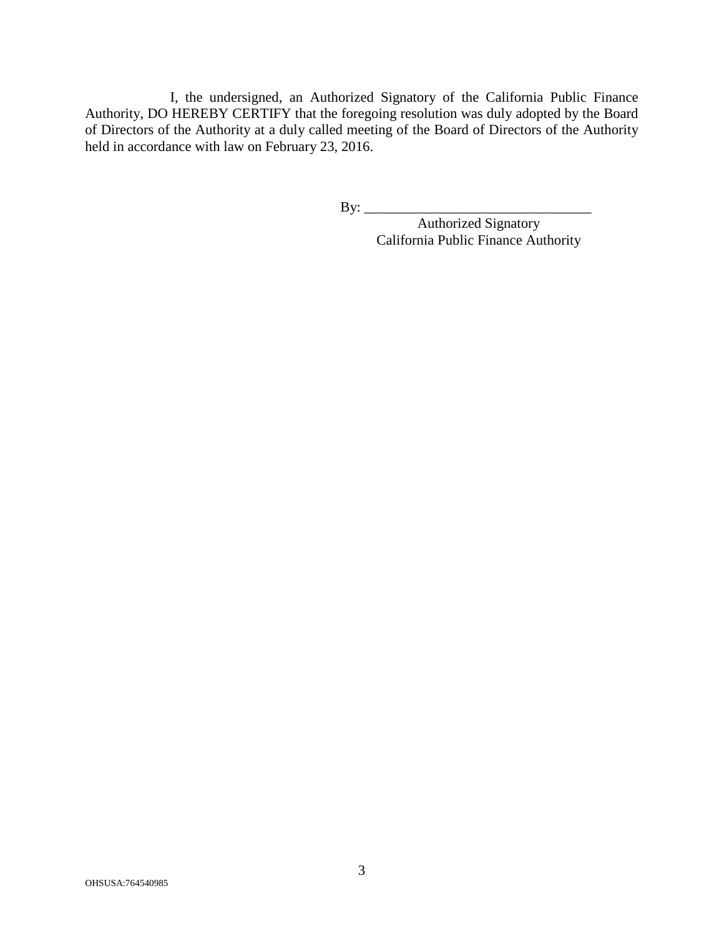I, the undersigned, an Authorized Signatory of the California Public Finance Authority, DO HEREBY CERTIFY that the foregoing resolution was duly adopted by the Board of Directors of the Authority at a duly called meeting of the Board of Directors of the Authority held in accordance with law on February 23, 2016.

By: \_\_\_\_\_\_\_\_\_\_\_\_\_\_\_\_\_\_\_\_\_\_\_\_\_\_\_\_\_\_\_\_

Authorized Signatory California Public Finance Authority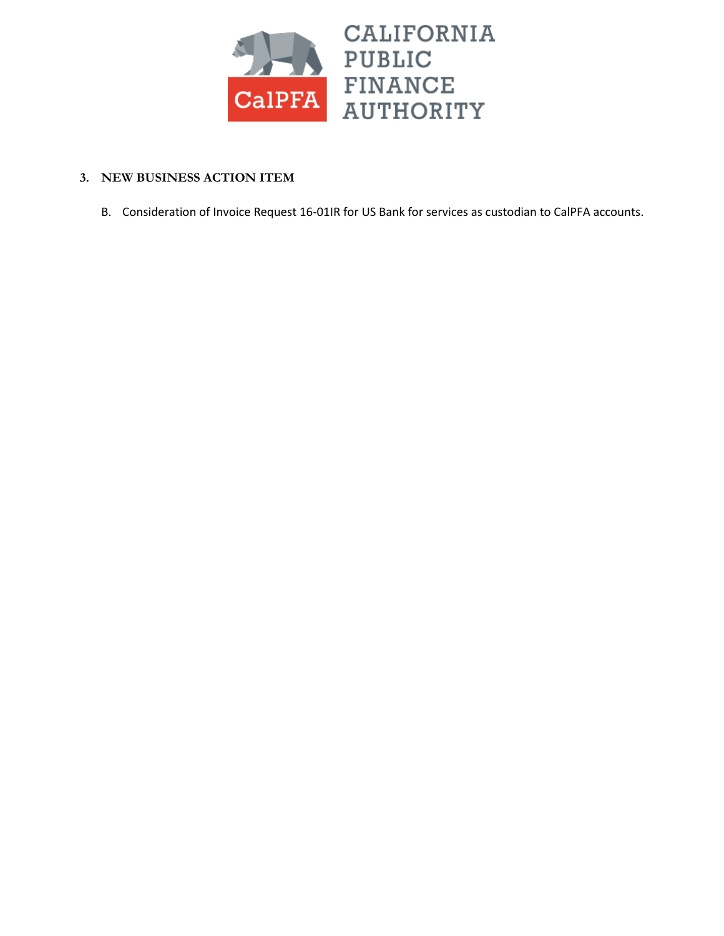

### **3. NEW BUSINESS ACTION ITEM**

B. Consideration of Invoice Request 16-01IR for US Bank for services as custodian to CalPFA accounts.